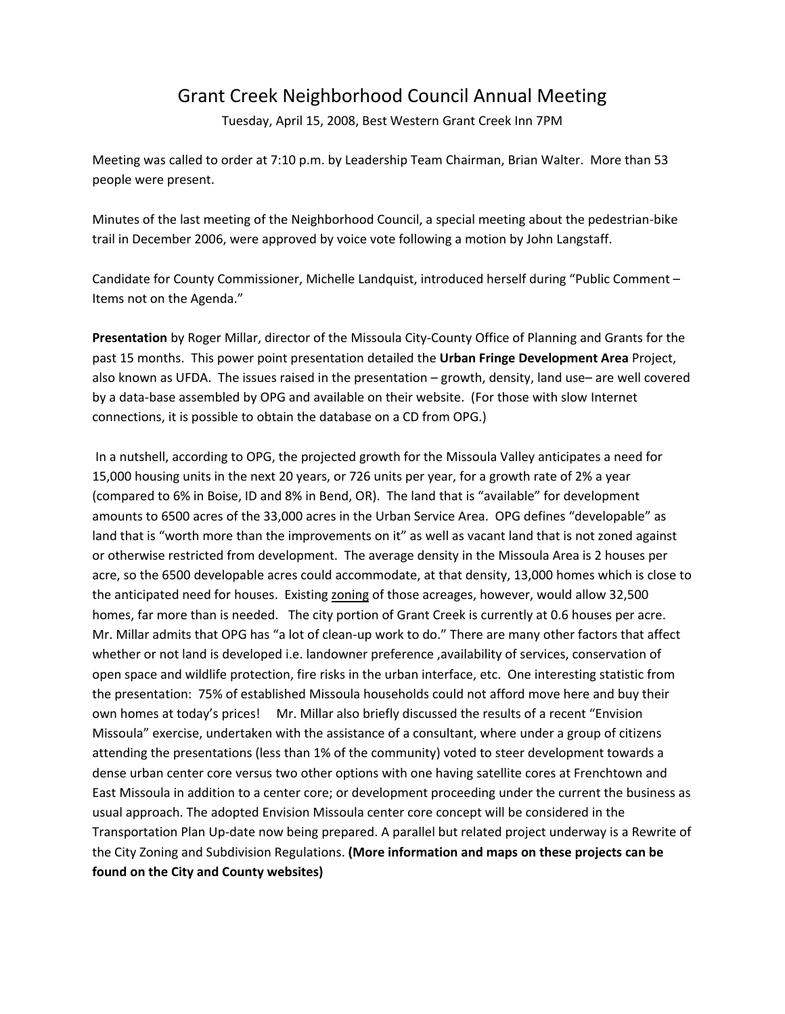## Grant Creek Neighborhood Council Annual Meeting

Tuesday, April 15, 2008, Best Western Grant Creek Inn 7PM

Meeting was called to order at 7:10 p.m. by Leadership Team Chairman, Brian Walter. More than 53 people were present.

Minutes of the last meeting of the Neighborhood Council, a special meeting about the pedestrian-bike trail in December 2006, were approved by voice vote following a motion by John Langstaff.

Candidate for County Commissioner, Michelle Landquist, introduced herself during "Public Comment – Items not on the Agenda."

**Presentation** by Roger Millar, director of the Missoula City-County Office of Planning and Grants for the past 15 months. This power point presentation detailed the **Urban Fringe Development Area** Project, also known as UFDA. The issues raised in the presentation – growth, density, land use– are well covered by a data-base assembled by OPG and available on their website. (For those with slow Internet connections, it is possible to obtain the database on a CD from OPG.)

In a nutshell, according to OPG, the projected growth for the Missoula Valley anticipates a need for 15,000 housing units in the next 20 years, or 726 units per year, for a growth rate of 2% a year (compared to 6% in Boise, ID and 8% in Bend, OR). The land that is "available" for development amounts to 6500 acres of the 33,000 acres in the Urban Service Area. OPG defines "developable" as land that is "worth more than the improvements on it" as well as vacant land that is not zoned against or otherwise restricted from development. The average density in the Missoula Area is 2 houses per acre, so the 6500 developable acres could accommodate, at that density, 13,000 homes which is close to the anticipated need for houses. Existing zoning of those acreages, however, would allow 32,500 homes, far more than is needed. The city portion of Grant Creek is currently at 0.6 houses per acre. Mr. Millar admits that OPG has "a lot of clean-up work to do." There are many other factors that affect whether or not land is developed i.e. landowner preference , availability of services, conservation of open space and wildlife protection, fire risks in the urban interface, etc. One interesting statistic from the presentation: 75% of established Missoula households could not afford move here and buy their own homes at today's prices! Mr. Millar also briefly discussed the results of a recent "Envision Missoula" exercise, undertaken with the assistance of a consultant, where under a group of citizens attending the presentations (less than 1% of the community) voted to steer development towards a dense urban center core versus two other options with one having satellite cores at Frenchtown and East Missoula in addition to a center core; or development proceeding under the current the business as usual approach. The adopted Envision Missoula center core concept will be considered in the Transportation Plan Up-date now being prepared. A parallel but related project underway is a Rewrite of the City Zoning and Subdivision Regulations. **(More information and maps on these projects can be found on the City and County websites)**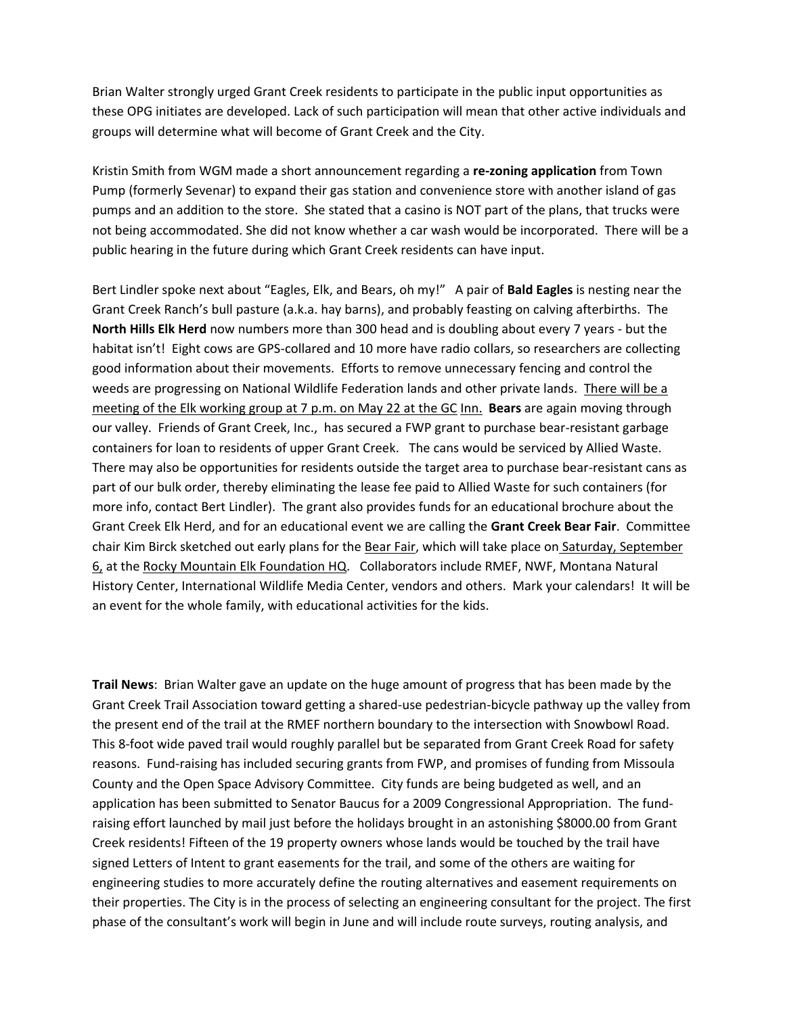Brian Walter strongly urged Grant Creek residents to participate in the public input opportunities as these OPG initiates are developed. Lack of such participation will mean that other active individuals and groups will determine what will become of Grant Creek and the City.

Kristin Smith from WGM made a short announcement regarding a **re-zoning application** from Town Pump (formerly Sevenar) to expand their gas station and convenience store with another island of gas pumps and an addition to the store. She stated that a casino is NOT part of the plans, that trucks were not being accommodated. She did not know whether a car wash would be incorporated. There will be a public hearing in the future during which Grant Creek residents can have input.

Bert Lindler spoke next about "Eagles, Elk, and Bears, oh my!" A pair of **Bald Eagles** is nesting near the Grant Creek Ranch's bull pasture (a.k.a. hay barns), and probably feasting on calving afterbirths. The **North Hills Elk Herd** now numbers more than 300 head and is doubling about every 7 years - but the habitat isn't! Eight cows are GPS-collared and 10 more have radio collars, so researchers are collecting good information about their movements. Efforts to remove unnecessary fencing and control the weeds are progressing on National Wildlife Federation lands and other private lands. There will be a meeting of the Elk working group at 7 p.m. on May 22 at the GC Inn. **Bears** are again moving through our valley. Friends of Grant Creek, Inc., has secured a FWP grant to purchase bear-resistant garbage containers for loan to residents of upper Grant Creek. The cans would be serviced by Allied Waste. There may also be opportunities for residents outside the target area to purchase bear-resistant cans as part of our bulk order, thereby eliminating the lease fee paid to Allied Waste for such containers (for more info, contact Bert Lindler). The grant also provides funds for an educational brochure about the Grant Creek Elk Herd, and for an educational event we are calling the **Grant Creek Bear Fair**. Committee chair Kim Birck sketched out early plans for the Bear Fair, which will take place on Saturday, September 6, at the Rocky Mountain Elk Foundation HQ. Collaborators include RMEF, NWF, Montana Natural History Center, International Wildlife Media Center, vendors and others. Mark your calendars! It will be an event for the whole family, with educational activities for the kids.

**Trail News**: Brian Walter gave an update on the huge amount of progress that has been made by the Grant Creek Trail Association toward getting a shared-use pedestrian-bicycle pathway up the valley from the present end of the trail at the RMEF northern boundary to the intersection with Snowbowl Road. This 8-foot wide paved trail would roughly parallel but be separated from Grant Creek Road for safety reasons. Fund-raising has included securing grants from FWP, and promises of funding from Missoula County and the Open Space Advisory Committee. City funds are being budgeted as well, and an application has been submitted to Senator Baucus for a 2009 Congressional Appropriation. The fundraising effort launched by mail just before the holidays brought in an astonishing \$8000.00 from Grant Creek residents! Fifteen of the 19 property owners whose lands would be touched by the trail have signed Letters of Intent to grant easements for the trail, and some of the others are waiting for engineering studies to more accurately define the routing alternatives and easement requirements on their properties. The City is in the process of selecting an engineering consultant for the project. The first phase of the consultant's work will begin in June and will include route surveys, routing analysis, and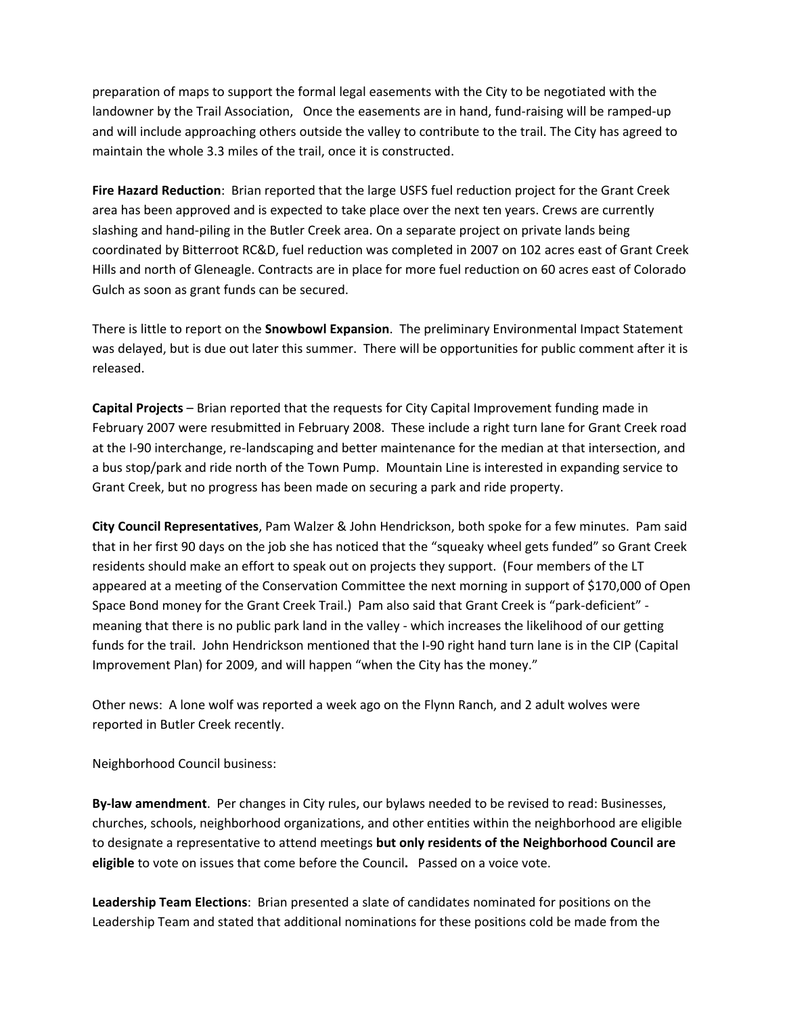preparation of maps to support the formal legal easements with the City to be negotiated with the landowner by the Trail Association, Once the easements are in hand, fund-raising will be ramped-up and will include approaching others outside the valley to contribute to the trail. The City has agreed to maintain the whole 3.3 miles of the trail, once it is constructed.

**Fire Hazard Reduction**: Brian reported that the large USFS fuel reduction project for the Grant Creek area has been approved and is expected to take place over the next ten years. Crews are currently slashing and hand-piling in the Butler Creek area. On a separate project on private lands being coordinated by Bitterroot RC&D, fuel reduction was completed in 2007 on 102 acres east of Grant Creek Hills and north of Gleneagle. Contracts are in place for more fuel reduction on 60 acres east of Colorado Gulch as soon as grant funds can be secured.

There is little to report on the **Snowbowl Expansion**. The preliminary Environmental Impact Statement was delayed, but is due out later this summer. There will be opportunities for public comment after it is released.

**Capital Projects** – Brian reported that the requests for City Capital Improvement funding made in February 2007 were resubmitted in February 2008. These include a right turn lane for Grant Creek road at the I-90 interchange, re-landscaping and better maintenance for the median at that intersection, and a bus stop/park and ride north of the Town Pump. Mountain Line is interested in expanding service to Grant Creek, but no progress has been made on securing a park and ride property.

**City Council Representatives**, Pam Walzer & John Hendrickson, both spoke for a few minutes. Pam said that in her first 90 days on the job she has noticed that the "squeaky wheel gets funded" so Grant Creek residents should make an effort to speak out on projects they support. (Four members of the LT appeared at a meeting of the Conservation Committee the next morning in support of \$170,000 of Open Space Bond money for the Grant Creek Trail.) Pam also said that Grant Creek is "park-deficient" meaning that there is no public park land in the valley - which increases the likelihood of our getting funds for the trail. John Hendrickson mentioned that the I-90 right hand turn lane is in the CIP (Capital Improvement Plan) for 2009, and will happen "when the City has the money."

Other news: A lone wolf was reported a week ago on the Flynn Ranch, and 2 adult wolves were reported in Butler Creek recently.

Neighborhood Council business:

**By-law amendment**. Per changes in City rules, our bylaws needed to be revised to read: Businesses, churches, schools, neighborhood organizations, and other entities within the neighborhood are eligible to designate a representative to attend meetings **but only residents of the Neighborhood Council are eligible** to vote on issues that come before the Council**.** Passed on a voice vote.

**Leadership Team Elections**: Brian presented a slate of candidates nominated for positions on the Leadership Team and stated that additional nominations for these positions cold be made from the